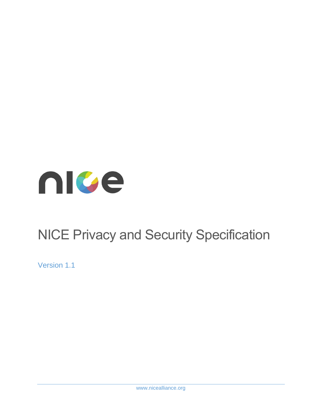<span id="page-0-0"></span>

# NICE Privacy and Security Specification

Version 1.1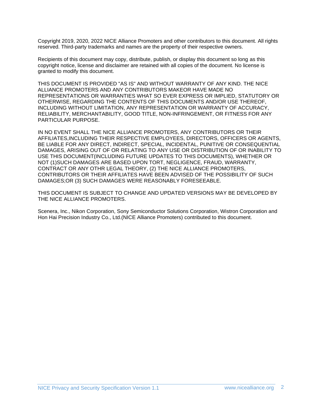Copyright 2019, 2020, 2022 NICE Alliance Promoters and other contributors to this document. All rights reserved. Third-party trademarks and names are the property of their respective owners.

Recipients of this document may copy, distribute, publish, or display this document so long as this copyright notice, license and disclaimer are retained with all copies of the document. No license is granted to modify this document.

THIS DOCUMENT IS PROVIDED "AS IS" AND WITHOUT WARRANTY OF ANY KIND. THE NICE ALLIANCE PROMOTERS AND ANY CONTRIBUTORS MAKEOR HAVE MADE NO REPRESENTATIONS OR WARRANTIES WHAT SO EVER EXPRESS OR IMPLIED, STATUTORY OR OTHERWISE, REGARDING THE CONTENTS OF THIS DOCUMENTS AND/OR USE THEREOF, INCLUDING WITHOUT LIMITATION, ANY REPRESENTATION OR WARRANTY OF ACCURACY, RELIABILITY, MERCHANTABILITY, GOOD TITLE, NON-INFRINGEMENT, OR FITNESS FOR ANY PARTICULAR PURPOSE.

IN NO EVENT SHALL THE NICE ALLIANCE PROMOTERS, ANY CONTRIBUTORS OR THEIR AFFILIATES,INCLUDING THEIR RESPECTIVE EMPLOYEES, DIRECTORS, OFFICERS OR AGENTS, BE LIABLE FOR ANY DIRECT, INDIRECT, SPECIAL, INCIDENTAL, PUNITIVE OR CONSEQUENTIAL DAMAGES, ARISING OUT OF OR RELATING TO ANY USE OR DISTRIBUTION OF OR INABILITY TO USE THIS DOCUMENT(INCLUDING FUTURE UPDATES TO THIS DOCUMENTS), WHETHER OR NOT (1)SUCH DAMAGES ARE BASED UPON TORT, NEGLIGENCE, FRAUD, WARRANTY, CONTRACT OR ANY OTHR LEGAL THEORY, (2) THE NICE ALLIANCE PROMOTERS, CONTRIBUTORS OR THEIR AFFILIATES HAVE BEEN ADVISED OF THE POSSIBILITY OF SUCH DAMAGES;OR (3) SUCH DAMAGES WERE REASONABLY FORESEEABLE.

THIS DOCUMENT IS SUBJECT TO CHANGE AND UPDATED VERSIONS MAY BE DEVELOPED BY THE NICE ALLIANCE PROMOTERS.

Scenera, Inc., Nikon Corporation, Sony Semiconductor Solutions Corporation, Wistron Corporation and Hon Hai Precision Industry Co., Ltd.(NICE Alliance Promoters) contributed to this document.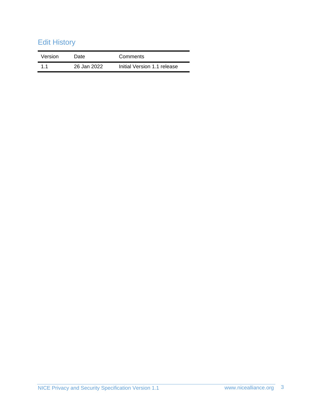# Edit History

| Version | Date        | Comments                    |
|---------|-------------|-----------------------------|
| 11      | 26 Jan 2022 | Initial Version 1.1 release |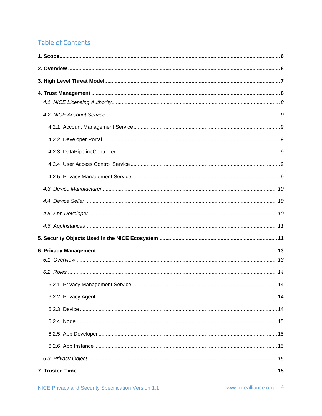# **Table of Contents**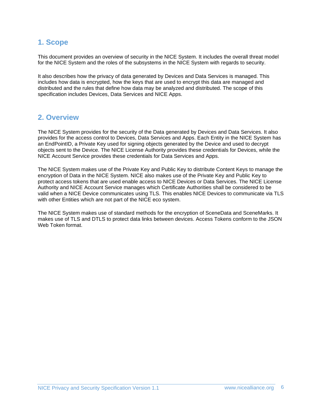# <span id="page-5-0"></span>**1. Scope**

This document provides an overview of security in the NICE System. It includes the overall threat model for the NICE System and the roles of the subsystems in the NICE System with regards to security.

It also describes how the privacy of data generated by Devices and Data Services is managed. This includes how data is encrypted, how the keys that are used to encrypt this data are managed and distributed and the rules that define how data may be analyzed and distributed. The scope of this specification includes Devices, Data Services and NICE Apps.

## <span id="page-5-1"></span>**2. Overview**

The NICE System provides for the security of the Data generated by Devices and Data Services. It also provides for the access control to Devices, Data Services and Apps. Each Entity in the NICE System has an EndPointID, a Private Key used for signing objects generated by the Device and used to decrypt objects sent to the Device. The NICE License Authority provides these credentials for Devices, while the NICE Account Service provides these credentials for Data Services and Apps.

The NICE System makes use of the Private Key and Public Key to distribute Content Keys to manage the encryption of Data in the NICE System. NICE also makes use of the Private Key and Public Key to protect access tokens that are used enable access to NICE Devices or Data Services. The NICE License Authority and NICE Account Service manages which Certificate Authorities shall be considered to be valid when a NICE Device communicates using TLS. This enables NICE Devices to communicate via TLS with other Entities which are not part of the NICE eco system.

The NICE System makes use of standard methods for the encryption of SceneData and SceneMarks. It makes use of TLS and DTLS to protect data links between devices. Access Tokens conform to the JSON Web Token format.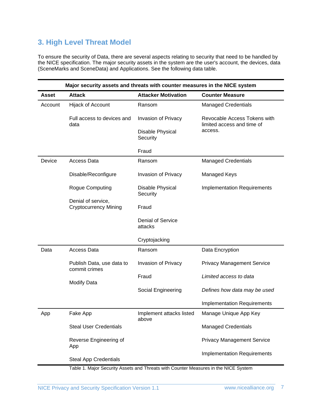# <span id="page-6-0"></span>**3. High Level Threat Model**

To ensure the security of Data, there are several aspects relating to security that need to be handled by the NICE specification. The major security assets in the system are the user's account, the devices, data (SceneMarks and SceneData) and Applications. See the following data table.

| Major security assets and threats with counter measures in the NICE system |                                                    |                                     |                                                            |  |
|----------------------------------------------------------------------------|----------------------------------------------------|-------------------------------------|------------------------------------------------------------|--|
| <b>Asset</b>                                                               | <b>Attack</b>                                      | <b>Attacker Motivation</b>          | <b>Counter Measure</b>                                     |  |
| Account                                                                    | Hijack of Account                                  | Ransom                              | <b>Managed Credentials</b>                                 |  |
|                                                                            | Full access to devices and<br>data                 | Invasion of Privacy                 | Revocable Access Tokens with<br>limited access and time of |  |
|                                                                            |                                                    | Disable Physical<br>Security        | access.                                                    |  |
|                                                                            |                                                    | Fraud                               |                                                            |  |
| Device                                                                     | Access Data                                        | Ransom                              | <b>Managed Credentials</b>                                 |  |
|                                                                            | Disable/Reconfigure                                | Invasion of Privacy                 | Managed Keys                                               |  |
|                                                                            | Rogue Computing                                    | Disable Physical<br>Security        | <b>Implementation Requirements</b>                         |  |
|                                                                            | Denial of service,<br><b>Cryptocurrency Mining</b> | Fraud                               |                                                            |  |
|                                                                            |                                                    | <b>Denial of Service</b><br>attacks |                                                            |  |
|                                                                            |                                                    | Cryptojacking                       |                                                            |  |
| Data                                                                       | Access Data                                        | Ransom                              | Data Encryption                                            |  |
|                                                                            | Publish Data, use data to<br>commit crimes         | Invasion of Privacy                 | <b>Privacy Management Service</b>                          |  |
|                                                                            | <b>Modify Data</b>                                 | Fraud                               | Limited access to data                                     |  |
|                                                                            |                                                    | Social Engineering                  | Defines how data may be used                               |  |
|                                                                            |                                                    |                                     | <b>Implementation Requirements</b>                         |  |
| App                                                                        | Fake App                                           | Implement attacks listed<br>above   | Manage Unique App Key                                      |  |
|                                                                            | <b>Steal User Credentials</b>                      |                                     | <b>Managed Credentials</b>                                 |  |
|                                                                            | Reverse Engineering of<br>App                      |                                     | <b>Privacy Management Service</b>                          |  |
|                                                                            | <b>Steal App Credentials</b>                       |                                     | <b>Implementation Requirements</b>                         |  |

Table 1. Major Security Assets and Threats with Counter Measures in the NICE System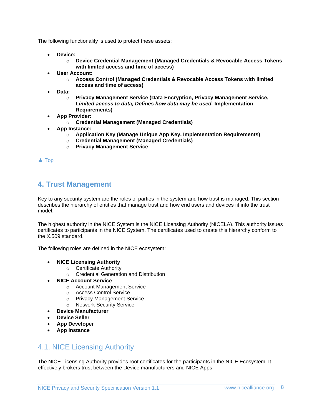The following functionality is used to protect these assets:

- **Device:**
	- o **Device Credential Management (Managed Credentials & Revocable Access Tokens with limited access and time of access)**
- **User Account:** 
	- o **Access Control (Managed Credentials & Revocable Access Tokens with limited access and time of access)**
- **Data:**
	- o **Privacy Management Service (Data Encryption, Privacy Management Service,**  *Limited access to data, Defines how data may be used,* **Implementation Requirements)**
- **App Provider:**
	- o **Credential Management (Managed Credentials)**
- **App Instance:**
	- o **Application Key (Manage Unique App Key, Implementation Requirements)**
	- o **Credential Management (Managed Credentials)**
	- o **Privacy Management Service**

[▲](#page-0-0) [Top](#page-0-0)

## <span id="page-7-0"></span>**4. Trust Management**

Key to any security system are the roles of parties in the system and how trust is managed. This section describes the hierarchy of entities that manage trust and how end users and devices fit into the trust model.

The highest authority in the NICE System is the NICE Licensing Authority (NICELA). This authority issues certificates to participants in the NICE System. The certificates used to create this hierarchy conform to the X.509 standard.

The following roles are defined in the NICE ecosystem:

- **NICE Licensing Authority**
	- o Certificate Authority
	- o Credential Generation and Distribution
- **NICE Account Service**
	- o Account Management Service
	- o Access Control Service
	- o Privacy Management Service
	- o Network Security Service
- **Device Manufacturer**
- **Device Seller**
- **App Developer**
- **App Instance**

## <span id="page-7-1"></span>4.1. NICE Licensing Authority

The NICE Licensing Authority provides root certificates for the participants in the NICE Ecosystem. It effectively brokers trust between the Device manufacturers and NICE Apps.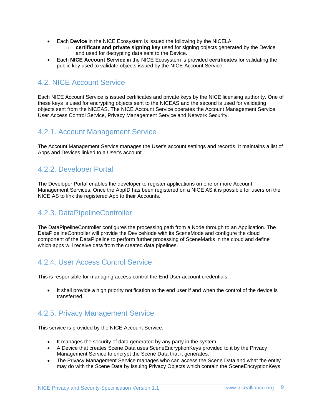- Each **Device** in the NICE Ecosystem is issued the following by the NICELA:
	- o **certificate and private signing key** used for signing objects generated by the Device and used for decrypting data sent to the Device.
- Each **NICE Account Service** in the NICE Ecosystem is provided **certificates** for validating the public key used to validate objects issued by the NICE Account Service.

# <span id="page-8-0"></span>4.2. NICE Account Service

Each NICE Account Service is issued certificates and private keys by the NICE licensing authority. One of these keys is used for encrypting objects sent to the NICEAS and the second is used for validating objects sent from the NICEAS. The NICE Account Service operates the Account Management Service, User Access Control Service, Privacy Management Service and Network Security.

## <span id="page-8-1"></span>4.2.1. Account Management Service

The Account Management Service manages the User's account settings and records. It maintains a list of Apps and Devices linked to a User's account.

## <span id="page-8-2"></span>4.2.2. Developer Portal

The Developer Portal enables the developer to register applications on one or more Account Management Services. Once the AppID has been registered on a NICE AS it is possible for users on the NICE AS to link the registered App to their Accounts.

# <span id="page-8-3"></span>4.2.3. DataPipelineController

The DataPipelineController configures the processing path from a Node through to an Application. The DataPipelineController will provide the DeviceNode with its SceneMode and configure the cloud component of the DataPipeline to perform further processing of SceneMarks in the cloud and define which apps will receive data from the created data pipelines.

# <span id="page-8-4"></span>4.2.4. User Access Control Service

This is responsible for managing access control the End User account credentials.

• It shall provide a high priority notification to the end user if and when the control of the device is transferred.

# <span id="page-8-5"></span>4.2.5. Privacy Management Service

This service is provided by the NICE Account Service.

- It manages the security of data generated by any party in the system.
- A Device that creates Scene Data uses SceneEncryptionKeys provided to it by the Privacy Management Service to encrypt the Scene Data that it generates.
- The Privacy Management Service manages who can access the Scene Data and what the entity may do with the Scene Data by issuing Privacy Objects which contain the SceneEncryptionKeys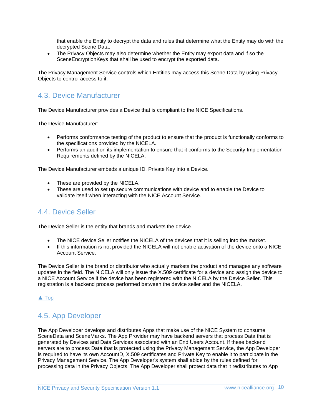that enable the Entity to decrypt the data and rules that determine what the Entity may do with the decrypted Scene Data.

• The Privacy Objects may also determine whether the Entity may export data and if so the SceneEncryptionKeys that shall be used to encrypt the exported data.

The Privacy Management Service controls which Entities may access this Scene Data by using Privacy Objects to control access to it.

# <span id="page-9-0"></span>4.3. Device Manufacturer

The Device Manufacturer provides a Device that is compliant to the NICE Specifications.

The Device Manufacturer:

- Performs conformance testing of the product to ensure that the product is functionally conforms to the specifications provided by the NICELA.
- Performs an audit on its implementation to ensure that it conforms to the Security Implementation Requirements defined by the NICELA.

The Device Manufacturer embeds a unique ID, Private Key into a Device.

- These are provided by the NICELA.
- These are used to set up secure communications with device and to enable the Device to validate itself when interacting with the NICE Account Service.

# <span id="page-9-1"></span>4.4. Device Seller

The Device Seller is the entity that brands and markets the device.

- The NICE device Seller notifies the NICELA of the devices that it is selling into the market.
- If this information is not provided the NICELA will not enable activation of the device onto a NICE Account Service.

The Device Seller is the brand or distributor who actually markets the product and manages any software updates in the field. The NICELA will only issue the X.509 certificate for a device and assign the device to a NICE Account Service if the device has been registered with the NICELA by the Device Seller. This registration is a backend process performed between the device seller and the NICELA.

#### [▲](#page-0-0) [Top](#page-0-0)

# <span id="page-9-2"></span>4.5. App Developer

The App Developer develops and distributes Apps that make use of the NICE System to consume SceneData and SceneMarks. The App Provider may have backend servers that process Data that is generated by Devices and Data Services associated with an End Users Account. If these backend servers are to process Data that is protected using the Privacy Management Service, the App Developer is required to have its own AccountD, X.509 certificates and Private Key to enable it to participate in the Privacy Management Service. The App Developer's system shall abide by the rules defined for processing data in the Privacy Objects. The App Developer shall protect data that it redistributes to App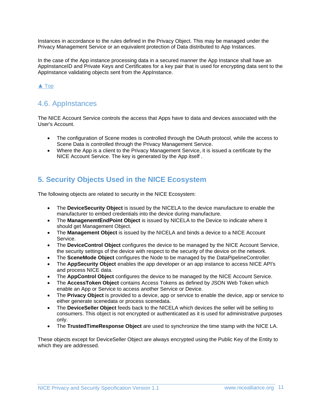Instances in accordance to the rules defined in the Privacy Object. This may be managed under the Privacy Management Service or an equivalent protection of Data distributed to App Instances.

In the case of the App instance processing data in a secured manner the App Instance shall have an AppInstanceID and Private Keys and Certificates for a key pair that is used for encrypting data sent to the AppInstance validating objects sent from the AppInstance.

### [▲](#page-0-0) [Top](#page-0-0)

## <span id="page-10-0"></span>4.6. AppInstances

The NICE Account Service controls the access that Apps have to data and devices associated with the User's Account.

- The configuration of Scene modes is controlled through the OAuth protocol, while the access to Scene Data is controlled through the Privacy Management Service.
- Where the App is a client to the Privacy Management Service, it is issued a certificate by the NICE Account Service. The key is generated by the App itself .

# <span id="page-10-1"></span>**5. Security Objects Used in the NICE Ecosystem**

The following objects are related to security in the NICE Ecosystem:

- The **DeviceSecurity Object** is issued by the NICELA to the device manufacture to enable the manufacturer to embed credentials into the device during manufacture.
- The **ManagenemtEndPoint Object** is issued by NICELA to the Device to indicate where it should get Management Object.
- The **Management Object** is issued by the NICELA and binds a device to a NICE Account Service.
- The **DeviceControl Object** configures the device to be managed by the NICE Account Service, the security settings of the device with respect to the security of the device on the network.
- The **SceneMode Object** configures the Node to be managed by the DataPipelineController.
- The **AppSecurity Object** enables the app developer or an app instance to access NICE API's and process NICE data.
- The **AppControl Object** configures the device to be managed by the NICE Account Service.
- The **AccessToken Object** contains Access Tokens as defined by JSON Web Token which enable an App or Service to access another Service or Device.
- The **Privacy Object** is provided to a device, app or service to enable the device, app or service to either generate scenedata or process scenedata.
- The **DeviceSeller Object** feeds back to the NICELA which devices the seller will be selling to consumers. This object is not encrypted or authenticated as it is used for administrative purposes only.
- The **TrustedTimeResponse Object** are used to synchronize the time stamp with the NICE LA.

These objects except for DeviceSeller Object are always encrypted using the Public Key of the Entity to which they are addressed.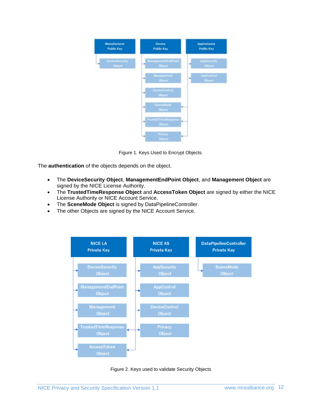

Figure 1. Keys Used to Encrypt Objects.

The **authentication** of the objects depends on the object.

- The **DeviceSecurity Object**, **ManagementEndPoint Object**, and **Management Object** are signed by the NICE License Authority.
- The **TrustedTimeResponse Object** and **AccessToken Object** are signed by either the NICE License Authority or NICE Account Service.
- The **SceneMode Object** is signed by DataPipelineController.
- The other Objects are signed by the NICE Account Service.



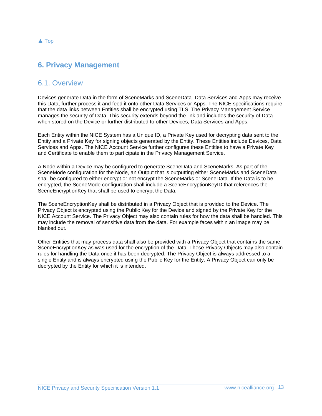#### [▲](#page-0-0) [Top](#page-0-0)

## <span id="page-12-1"></span><span id="page-12-0"></span>**6. Privacy Management**

## 6.1. Overview

Devices generate Data in the form of SceneMarks and SceneData. Data Services and Apps may receive this Data, further process it and feed it onto other Data Services or Apps. The NICE specifications require that the data links between Entities shall be encrypted using TLS. The Privacy Management Service manages the security of Data. This security extends beyond the link and includes the security of Data when stored on the Device or further distributed to other Devices, Data Services and Apps.

Each Entity within the NICE System has a Unique ID, a Private Key used for decrypting data sent to the Entity and a Private Key for signing objects generated by the Entity. These Entities include Devices, Data Services and Apps. The NICE Account Service further configures these Entities to have a Private Key and Certificate to enable them to participate in the Privacy Management Service.

A Node within a Device may be configured to generate SceneData and SceneMarks. As part of the SceneMode configuration for the Node, an Output that is outputting either SceneMarks and SceneData shall be configured to either encrypt or not encrypt the SceneMarks or SceneData. If the Data is to be encrypted, the SceneMode configuration shall include a SceneEncryptionKeyID that references the SceneEncryptionKey that shall be used to encrypt the Data.

The SceneEncryptionKey shall be distributed in a Privacy Object that is provided to the Device. The Privacy Object is encrypted using the Public Key for the Device and signed by the Private Key for the NICE Account Service. The Privacy Object may also contain rules for how the data shall be handled. This may include the removal of sensitive data from the data. For example faces within an image may be blanked out.

Other Entities that may process data shall also be provided with a Privacy Object that contains the same SceneEncryptionKey as was used for the encryption of the Data. These Privacy Objects may also contain rules for handling the Data once it has been decrypted. The Privacy Object is always addressed to a single Entity and is always encrypted using the Public Key for the Entity. A Privacy Object can only be decrypted by the Entity for which it is intended.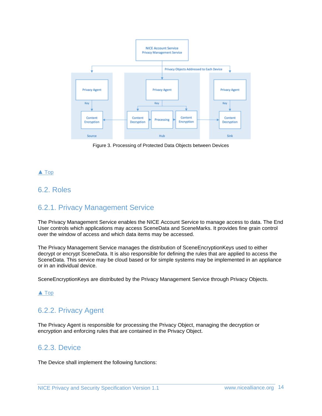

Figure 3. Processing of Protected Data Objects between Devices

## [▲](#page-0-0) [Top](#page-0-0)

## <span id="page-13-1"></span><span id="page-13-0"></span>6.2. Roles

## 6.2.1. Privacy Management Service

The Privacy Management Service enables the NICE Account Service to manage access to data. The End User controls which applications may access SceneData and SceneMarks. It provides fine grain control over the window of access and which data items may be accessed.

The Privacy Management Service manages the distribution of SceneEncryptionKeys used to either decrypt or encrypt SceneData. It is also responsible for defining the rules that are applied to access the SceneData. This service may be cloud based or for simple systems may be implemented in an appliance or in an individual device.

SceneEncryptionKeys are distributed by the Privacy Management Service through Privacy Objects.

[▲](#page-0-0) [Top](#page-0-0)

# <span id="page-13-2"></span>6.2.2. Privacy Agent

The Privacy Agent is responsible for processing the Privacy Object, managing the decryption or encryption and enforcing rules that are contained in the Privacy Object.

## <span id="page-13-3"></span>6.2.3. Device

The Device shall implement the following functions: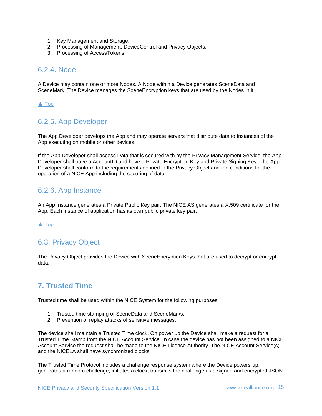- 1. Key Management and Storage.
- 2. Processing of Management, DeviceControl and Privacy Objects.
- 3. Processing of AccessTokens.

## <span id="page-14-0"></span>6.2.4. Node

A Device may contain one or more Nodes. A Node within a Device generates SceneData and SceneMark. The Device manages the SceneEncryption keys that are used by the Nodes in it.

#### [▲](#page-0-0) [Top](#page-0-0)

## <span id="page-14-1"></span>6.2.5. App Developer

The App Developer develops the App and may operate servers that distribute data to Instances of the App executing on mobile or other devices.

If the App Developer shall access Data that is secured with by the Privacy Management Service, the App Developer shall have a AccountID and have a Private Encryption Key and Private Signing Key. The App Developer shall conform to the requirements defined in the Privacy Object and the conditions for the operation of a NICE App including the securing of data.

# <span id="page-14-2"></span>6.2.6. App Instance

An App Instance generates a Private Public Key pair. The NICE AS generates a X.509 certificate for the App. Each instance of application has its own public private key pair.

#### [▲](#page-0-0) [Top](#page-0-0)

# <span id="page-14-3"></span>6.3. Privacy Object

The Privacy Object provides the Device with SceneEncryption Keys that are used to decrypt or encrypt data.

# <span id="page-14-4"></span>**7. Trusted Time**

Trusted time shall be used within the NICE System for the following purposes:

- 1. Trusted time stamping of SceneData and SceneMarks.
- 2. Prevention of replay attacks of sensitive messages.

The device shall maintain a Trusted Time clock. On power up the Device shall make a request for a Trusted Time Stamp from the NICE Account Service. In case the device has not been assigned to a NICE Account Service the request shall be made to the NICE License Authority. The NICE Account Service(s) and the NICELA shall have synchronized clocks.

The Trusted Time Protocol includes a challenge response system where the Device powers up, generates a random challenge, initiates a clock, transmits the challenge as a signed and encrypted JSON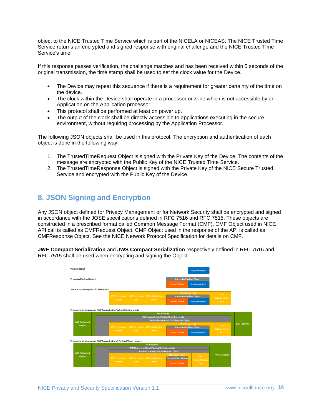object to the NICE Trusted Time Service which is part of the NICELA or NICEAS. The NICE Trusted Time Service returns an encrypted and signed response with original challenge and the NICE Trusted Time Service's time.

If this response passes verification, the challenge matches and has been received within 5 seconds of the original transmission, the time stamp shall be used to set the clock value for the Device.

- The Device may repeat this sequence if there is a requirement for greater certainty of the time on the device.
- The clock within the Device shall operate in a processor or zone which is not accessible by an Application on the Application processor.
- This protocol shall be performed at least on power up.
- The output of the clock shall be directly accessible to applications executing in the secure environment, without requiring processing by the Application Processor.

The following JSON objects shall be used in this protocol. The encryption and authentication of each object is done in the following way:

- 1. The TrustedTimeRequest Object is signed with the Private Key of the Device. The contents of the message are encrypted with the Public Key of the NICE Trusted Time Service.
- 2. The TrustedTimeResponse Object is signed with the Private Key of the NICE Secure Trusted Service and encrypted with the Public Key of the Device.

# <span id="page-15-0"></span>**8. JSON Signing and Encryption**

Any JSON object defined for Privacy Management or for Network Security shall be encrypted and signed in accordance with the JOSE specifications defined in RFC 7516 and RFC 7515. These objects are constructed in a prescribed format called Common Message Format (CMF). CMF Object used in NICE API call is called as CMFRequest Object. CMF Object used in the response of the API is called as CMFResponse Object. See the NICE Network Protocol Specification for details on CMF.

**JWE Compact Serialization** and **JWS Compact Serialization** respectively defined in RFC 7516 and RFC 7515 shall be used when encrypting and signing the Object.

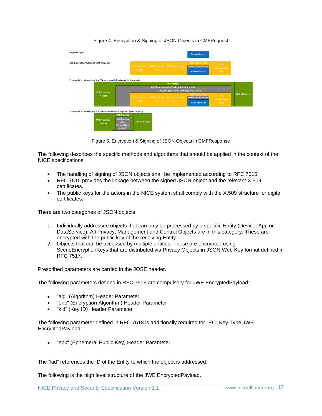

#### Figure 4. Encryption & Signing of JSON Objects in CMFRequest

Figure 5. Encryption & Signing of JSON Objects in CMFResponse

The following describes the specific methods and algorithms that should be applied in the context of the NICE specifications.

- The handling of signing of JSON objects shall be implemented according to RFC 7515.
- RFC 7515 provides the linkage between the signed JSON object and the relevant X.509 certificates.
- The public keys for the actors in the NICE system shall comply with the X.509 structure for digital certificates.

There are two categories of JSON objects:

- 1. Individually addressed objects that can only be processed by a specific Entity (Device, App or DataService). All Privacy, Management and Control Objects are in this category. These are encrypted with the public key of the receiving Entity.
- 2. Objects that can be accessed by multiple entities. These are encrypted using SceneEncryptionKeys that are distributed via Privacy Objects in JSON Web Key format defined in RFC 7517.

Prescribed parameters are carried in the JOSE header.

The following parameters defined in RFC 7516 are compulsory for JWE EncryptedPayload:

- "alg" (Algorithm) Header Parameter
- "enc" (Encryption Algorithm) Header Parameter
- "kid" (Key ID) Header Parameter

The following parameter defined in RFC 7518 is additionally required for "EC" Key Type JWE EncryptedPayload:

• "epk" (Ephemeral Public Key) Header Parameter

The "kid" references the ID of the Entity to which the object is addressed.

The following is the high level structure of the JWE EncryptedPayload.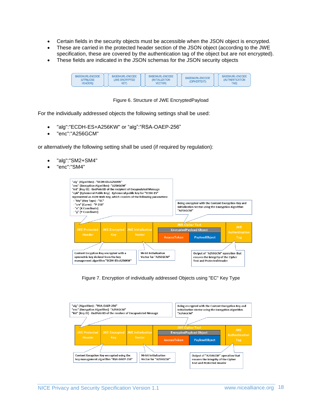- Certain fields in the security objects must be accessible when the JSON object is encrypted.
- These are carried in the protected header section of the JSON object (according to the JWE specification, these are covered by the authentication tag of the object but are not encrypted).
- These fields are indicated in the JSON schemas for the JSON security objects

| BASE64URL-ENCODE<br>BASE64URL-ENCODE<br>(UTF8(JOSE<br><b>(JWE ENCRYPTED)</b><br>HEADER))<br>KEY) | BASE64URL-ENCODE<br><i><b>INITIALIZATION</b></i><br><b>VECTOR)</b> | BASE64URL-ENCODE<br>(CIPHERTEXT) | BASE64URL-ENCODE<br><b>(AUTHENTICATION</b><br>TAG) |
|--------------------------------------------------------------------------------------------------|--------------------------------------------------------------------|----------------------------------|----------------------------------------------------|
|--------------------------------------------------------------------------------------------------|--------------------------------------------------------------------|----------------------------------|----------------------------------------------------|

Figure 6. Structure of JWE EncryptedPayload

For the individually addressed objects the following settings shall be used:

- "alg":"ECDH-ES+A256KW" or "alg":"RSA-OAEP-256"
- "enc":"A256GCM"

or alternatively the following setting shall be used (if required by regulation):

- "alg":"SM2+SM4"
- "enc":"SM4"



Figure 7. Encryption of individually addressed Objects using "EC" Key Type

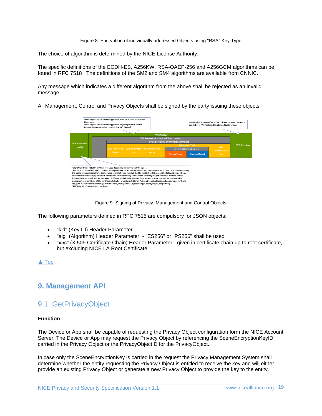#### Figure 8. Encryption of individually addressed Objects using "RSA" Key Type

The choice of algorithm is determined by the NICE License Authority.

The specific definitions of the ECDH-ES, A256KW, RSA-OAEP-256 and A256GCM algorithms can be found in RFC 7518 . The definitions of the SM2 and SM4 algorithms are available from CNNIC.

Any message which indicates a different algorithm from the above shall be rejected as an invalid message.

All Management, Control and Privacy Objects shall be signed by the party issuing these objects.



Figure 9. Signing of Privacy, Management and Control Objects

The following parameters defined in RFC 7515 are compulsory for JSON objects:

- "kid" (Key ID) Header Parameter
- "alg" (Algorithm) Header Parameter "ES256" or "PS256" shall be used
- "x5c" (X.509 Certificate Chain) Header Parameter given in certificate chain up to root certificate, but excluding NICE LA Root Certificate

#### [▲](#page-0-0) [Top](#page-0-0)

## <span id="page-18-1"></span><span id="page-18-0"></span>**9. Management API**

## 9.1. GetPrivacyObject

#### **Function**

The Device or App shall be capable of requesting the Privacy Object configuration form the NICE Account Server. The Device or App may request the Privacy Object by referencing the SceneEncryptionKeyID carried in the Privacy Object or the PrivacyObjectID for the PrivacyObject.

In case only the SceneEncryptionKey is carried in the request the Privacy Management System shall determine whether the entity requesting the Privacy Object is entitled to receive the key and will either provide an existing Privacy Object or generate a new Privacy Object to provide the key to the entity.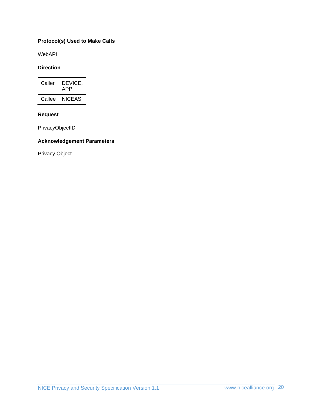#### **Protocol(s) Used to Make Calls**

WebAPI

#### **Direction**

| Caller | DEVICE,<br>APP |
|--------|----------------|
| Callee | <b>NICEAS</b>  |

#### **Request**

PrivacyObjectID

#### **Acknowledgement Parameters**

Privacy Object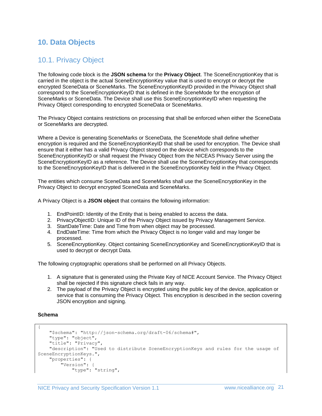# <span id="page-20-1"></span><span id="page-20-0"></span>**10. Data Objects**

# 10.1. Privacy Object

The following code block is the **JSON schema** for the **Privacy Object**. The SceneEncryptionKey that is carried in the object is the actual SceneEncryptionKey value that is used to encrypt or decrypt the encrypted SceneData or SceneMarks. The SceneEncryptionKeyID provided in the Privacy Object shall correspond to the SceneEncryptionKeyID that is defined in the SceneMode for the encryption of SceneMarks or SceneData. The Device shall use this SceneEncryptionKeyID when requesting the Privacy Object corresponding to encrypted SceneData or SceneMarks.

The Privacy Object contains restrictions on processing that shall be enforced when either the SceneData or SceneMarks are decrypted.

Where a Device is generating SceneMarks or SceneData, the SceneMode shall define whether encryption is required and the SceneEncryptionKeyID that shall be used for encryption. The Device shall ensure that it either has a valid Privacy Object stored on the device which corresponds to the SceneEncryptionKeyID or shall request the Privacy Object from the NICEAS Privacy Server using the SceneEncryptionKeyID as a reference. The Device shall use the SceneEncryptionKey that corresponds to the SceneEncryptionKeyID that is delivered in the SceneEncryptionKey field in the Privacy Object.

The entities which consume SceneData and SceneMarks shall use the SceneEncryptionKey in the Privacy Object to decrypt encrypted SceneData and SceneMarks.

A Privacy Object is a **JSON object** that contains the following information:

- 1. EndPointID: Identity of the Entity that is being enabled to access the data.
- 2. PrivacyObjectID: Unique ID of the Privacy Object issued by Privacy Management Service.
- 3. StartDateTime: Date and Time from when object may be processed.
- 4. EndDateTime: Time from which the Privacy Object is no longer valid and may longer be processed.
- 5. SceneEncryptionKey. Object containing SceneEncryptionKey and SceneEncryptionKeyID that is used to decrypt or decrypt Data.

The following cryptographic operations shall be performed on all Privacy Objects.

- 1. A signature that is generated using the Private Key of NICE Account Service. The Privacy Object shall be rejected if this signature check fails in any way.
- 2. The payload of the Privacy Object is encrypted using the public key of the device, application or service that is consuming the Privacy Object. This encryption is described in the section covering JSON encryption and signing.

#### **Schema**

```
{
     "$schema": "http://json-schema.org/draft-06/schema#",
     "type": "object",
     "title": "Privacy",
     "description": "Used to distribute SceneEncryptionKeys and rules for the usage of 
SceneEncryptionKeys.",
     "properties": {
         "Version": {
             "type": "string",
```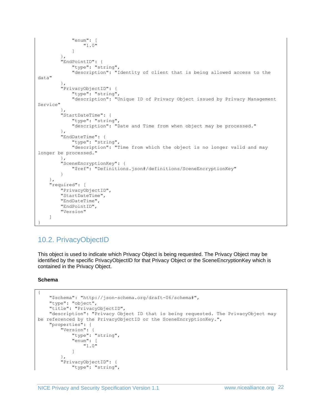```
 "enum": [
                 "1.0"
 ]
         },
         "EndPointID": {
             "type": "string",
             "description": "Identity of client that is being allowed access to the 
data"
 },
 "PrivacyObjectID": {
            "type": "string",
             "description": "Unique ID of Privacy Object issued by Privacy Management 
Service"
         },
         "StartDateTime": {
             "type": "string",
             "description": "Date and Time from when object may be processed."
         },
         "EndDateTime": {
            "type": "string",
             "description": "Time from which the object is no longer valid and may 
longer be processed."
         },
         "SceneEncryptionKey": {
             "$ref": "Definitions.json#/definitions/SceneEncryptionKey"
 }
     },
     "required": [
         "PrivacyObjectID",
         "StartDateTime",
         "EndDateTime",
         "EndPointID",
         "Version"
     ]
}
```
# <span id="page-21-0"></span>10.2. PrivacyObjectID

This object is used to indicate which Privacy Object is being requested. The Privacy Object may be identified by the specific PrivacyObjectID for that Privacy Object or the SceneEncryptionKey which is contained in the Privacy Object.

#### **Schema**

```
{
     "$schema": "http://json-schema.org/draft-06/schema#",
     "type": "object",
     "title": "PrivacyObjectID",
     "description": "Privacy Object ID that is being requested. The PrivacyObject may 
be referenced by the PrivacyObjectID or the SceneEncryptionKey.",
     "properties": {
         "Version": {
             "type": "string",
             "enum": [
                 "1.0"
 ]
         },
         "PrivacyObjectID": {
             "type": "string",
```